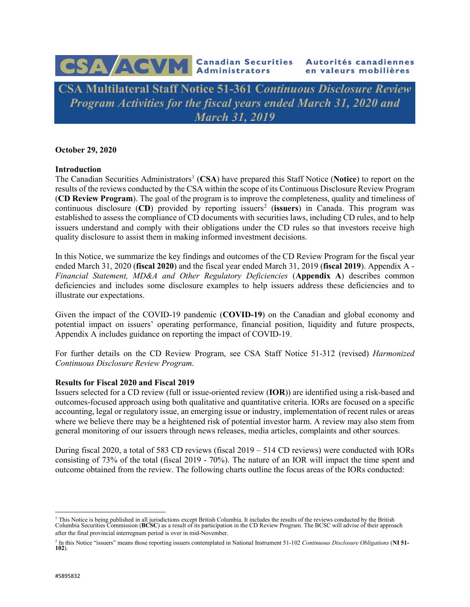# CSA ACVM Canadian Securities Autorités canadiennes

**CSA Multilateral Staff Notice 51-361 C***ontinuous Disclosure Review Program Activities for the fiscal years ended March 31, 2020 and March 31, 2019*

**October 29, 2020** 

#### **Introduction**

The Canadian Securities Administrators<sup>[1](#page-0-0)</sup> (CSA) have prepared this Staff Notice (Notice) to report on the results of the reviews conducted by the CSA within the scope of its Continuous Disclosure Review Program (**CD Review Program**). The goal of the program is to improve the completeness, quality and timeliness of continuous disclosure (CD) provided by reporting issuers<sup>[2](#page-0-1)</sup> (issuers) in Canada. This program was established to assess the compliance of CD documents with securities laws, including CD rules, and to help issuers understand and comply with their obligations under the CD rules so that investors receive high quality disclosure to assist them in making informed investment decisions.

In this Notice, we summarize the key findings and outcomes of the CD Review Program for the fiscal year ended March 31, 2020 (**fiscal 2020**) and the fiscal year ended March 31, 2019 (**fiscal 2019**). Appendix A - *Financial Statement, MD&A and Other Regulatory Deficiencies* (**Appendix A**) describes common deficiencies and includes some disclosure examples to help issuers address these deficiencies and to illustrate our expectations.

Given the impact of the COVID-19 pandemic (**COVID-19**) on the Canadian and global economy and potential impact on issuers' operating performance, financial position, liquidity and future prospects, Appendix A includes guidance on reporting the impact of COVID-19.

For further details on the CD Review Program, see CSA Staff Notice 51-312 (revised) *Harmonized Continuous Disclosure Review Program*.

#### **Results for Fiscal 2020 and Fiscal 2019**

Issuers selected for a CD review (full or issue-oriented review (**IOR**)) are identified using a risk-based and outcomes-focused approach using both qualitative and quantitative criteria. IORs are focused on a specific accounting, legal or regulatory issue, an emerging issue or industry, implementation of recent rules or areas where we believe there may be a heightened risk of potential investor harm. A review may also stem from general monitoring of our issuers through news releases, media articles, complaints and other sources.

During fiscal 2020, a total of 583 CD reviews (fiscal 2019 – 514 CD reviews) were conducted with IORs consisting of 73% of the total (fiscal 2019 - 70%). The nature of an IOR will impact the time spent and outcome obtained from the review. The following charts outline the focus areas of the IORs conducted:

<span id="page-0-0"></span><sup>&</sup>lt;sup>1</sup> This Notice is being published in all jurisdictions except British Columbia. It includes the results of the reviews conducted by the British<br>Columbia Securities Commission (BCSC) as a result of its participation in the after the final provincial interregnum period is over in mid-November.

<span id="page-0-1"></span><sup>2</sup> In this Notice "issuers" means those reporting issuers contemplated in National Instrument 51-102 *Continuous Disclosure Obligations* (**NI 51- 102**).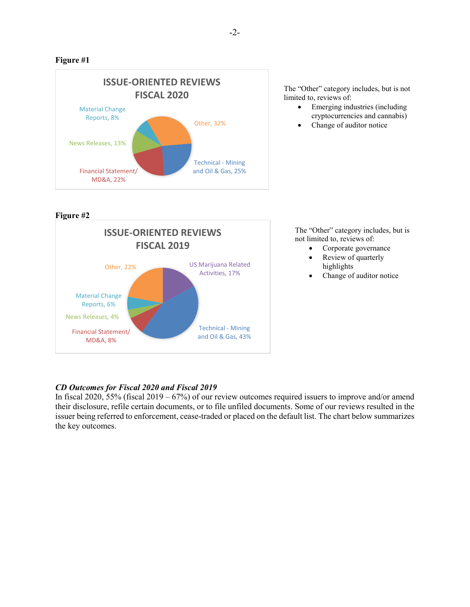# **Figure #1**



The "Other" category includes, but is not limited to, reviews of:

- Emerging industries (including cryptocurrencies and cannabis)
- Change of auditor notice

**Figure #2**



The "Other" category includes, but is not limited to, reviews of:

- Corporate governance
- Review of quarterly highlights
- Change of auditor notice

# *CD Outcomes for Fiscal 2020 and Fiscal 2019*

In fiscal 2020, 55% (fiscal 2019 – 67%) of our review outcomes required issuers to improve and/or amend their disclosure, refile certain documents, or to file unfiled documents. Some of our reviews resulted in the issuer being referred to enforcement, cease-traded or placed on the default list. The chart below summarizes the key outcomes.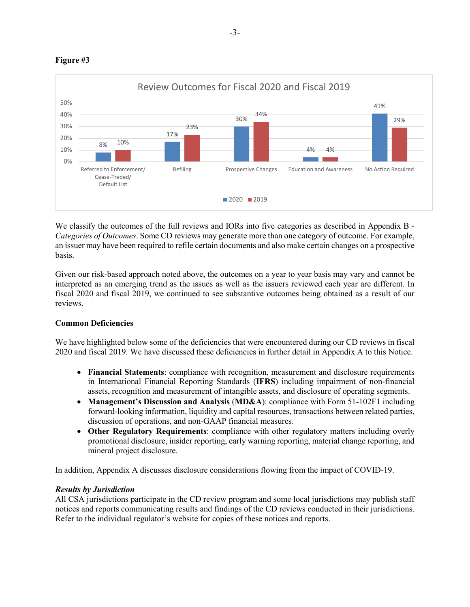



We classify the outcomes of the full reviews and IORs into five categories as described in Appendix B -*Categories of Outcomes*. Some CD reviews may generate more than one category of outcome. For example, an issuer may have been required to refile certain documents and also make certain changes on a prospective basis.

Given our risk-based approach noted above, the outcomes on a year to year basis may vary and cannot be interpreted as an emerging trend as the issues as well as the issuers reviewed each year are different. In fiscal 2020 and fiscal 2019, we continued to see substantive outcomes being obtained as a result of our reviews.

# **Common Deficiencies**

We have highlighted below some of the deficiencies that were encountered during our CD reviews in fiscal 2020 and fiscal 2019. We have discussed these deficiencies in further detail in Appendix A to this Notice.

- **Financial Statements**: compliance with recognition, measurement and disclosure requirements in International Financial Reporting Standards (**IFRS**) including impairment of non-financial assets, recognition and measurement of intangible assets, and disclosure of operating segments.
- **Management's Discussion and Analysis (MD&A):** compliance with Form 51-102F1 including forward-looking information, liquidity and capital resources, transactions between related parties, discussion of operations, and non-GAAP financial measures.
- **Other Regulatory Requirements**: compliance with other regulatory matters including overly promotional disclosure, insider reporting, early warning reporting, material change reporting, and mineral project disclosure.

In addition, Appendix A discusses disclosure considerations flowing from the impact of COVID-19.

# *Results by Jurisdiction*

All CSA jurisdictions participate in the CD review program and some local jurisdictions may publish staff notices and reports communicating results and findings of the CD reviews conducted in their jurisdictions. Refer to the individual regulator's website for copies of these notices and reports.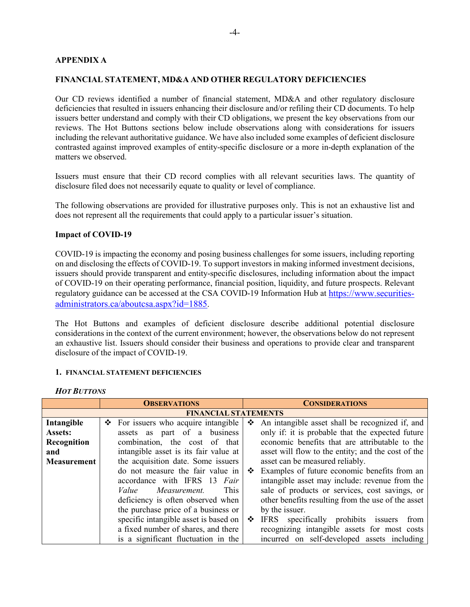## **APPENDIX A**

#### **FINANCIAL STATEMENT, MD&A AND OTHER REGULATORY DEFICIENCIES**

Our CD reviews identified a number of financial statement, MD&A and other regulatory disclosure deficiencies that resulted in issuers enhancing their disclosure and/or refiling their CD documents. To help issuers better understand and comply with their CD obligations, we present the key observations from our reviews. The Hot Buttons sections below include observations along with considerations for issuers including the relevant authoritative guidance. We have also included some examples of deficient disclosure contrasted against improved examples of entity-specific disclosure or a more in-depth explanation of the matters we observed.

Issuers must ensure that their CD record complies with all relevant securities laws. The quantity of disclosure filed does not necessarily equate to quality or level of compliance.

The following observations are provided for illustrative purposes only. This is not an exhaustive list and does not represent all the requirements that could apply to a particular issuer's situation.

#### **Impact of COVID-19**

COVID-19 is impacting the economy and posing business challenges for some issuers, including reporting on and disclosing the effects of COVID-19. To support investors in making informed investment decisions, issuers should provide transparent and entity-specific disclosures, including information about the impact of COVID-19 on their operating performance, financial position, liquidity, and future prospects. Relevant regulatory guidance can be accessed at the CSA COVID-19 Information Hub at [https://www.securities](https://www.securities-administrators.ca/aboutcsa.aspx?id=1885)[administrators.ca/aboutcsa.aspx?id=1885.](https://www.securities-administrators.ca/aboutcsa.aspx?id=1885)

The Hot Buttons and examples of deficient disclosure describe additional potential disclosure considerations in the context of the current environment; however, the observations below do not represent an exhaustive list. Issuers should consider their business and operations to provide clear and transparent disclosure of the impact of COVID-19.

#### **1. FINANCIAL STATEMENT DEFICIENCIES**

*HOT BUTTONS*

|             | <b>OBSERVATIONS</b><br><b>CONSIDERATIONS</b>                                                      |
|-------------|---------------------------------------------------------------------------------------------------|
|             | <b>FINANCIAL STATEMENTS</b>                                                                       |
| Intangible  | $\div$ For issuers who acquire intangible<br>❖<br>An intangible asset shall be recognized if, and |
| Assets:     | only if: it is probable that the expected future<br>assets as part of a business                  |
| Recognition | economic benefits that are attributable to the<br>combination, the cost of that                   |
| and         | intangible asset is its fair value at<br>asset will flow to the entity; and the cost of the       |
| Measurement | the acquisition date. Some issuers<br>asset can be measured reliably.                             |
|             | do not measure the fair value in<br>Examples of future economic benefits from an<br>❖             |
|             | intangible asset may include: revenue from the<br>accordance with IFRS 13 Fair                    |
|             | sale of products or services, cost savings, or<br>Value<br>Measurement.<br>This.                  |
|             | other benefits resulting from the use of the asset<br>deficiency is often observed when           |
|             | the purchase price of a business or<br>by the issuer.                                             |
|             | specific intangible asset is based on<br>specifically prohibits issuers<br>IFRS<br>❖<br>from      |
|             | a fixed number of shares, and there<br>recognizing intangible assets for most costs               |
|             | incurred on self-developed assets including<br>is a significant fluctuation in the                |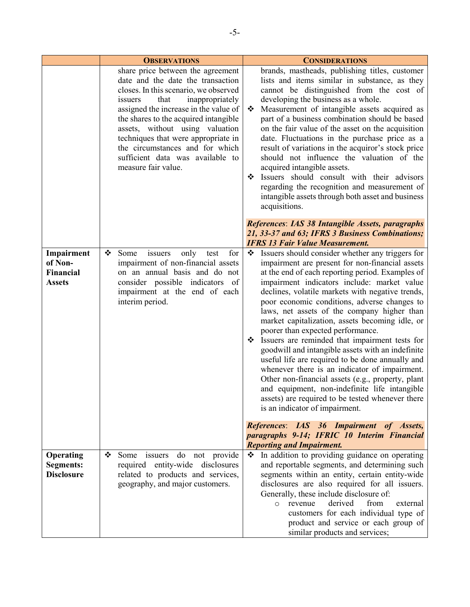|                                                            | <b>OBSERVATIONS</b>                                                                                                                                                                                                                                                                                                                                                                                             | <b>CONSIDERATIONS</b>                                                                                                                                                                                                                                                                                                                                                                                                                                                                                                                                                                                                                                                                                                                                                                                                                                               |
|------------------------------------------------------------|-----------------------------------------------------------------------------------------------------------------------------------------------------------------------------------------------------------------------------------------------------------------------------------------------------------------------------------------------------------------------------------------------------------------|---------------------------------------------------------------------------------------------------------------------------------------------------------------------------------------------------------------------------------------------------------------------------------------------------------------------------------------------------------------------------------------------------------------------------------------------------------------------------------------------------------------------------------------------------------------------------------------------------------------------------------------------------------------------------------------------------------------------------------------------------------------------------------------------------------------------------------------------------------------------|
|                                                            | share price between the agreement<br>date and the date the transaction<br>closes. In this scenario, we observed<br>that<br>inappropriately<br>issuers<br>assigned the increase in the value of<br>the shares to the acquired intangible<br>assets, without using valuation<br>techniques that were appropriate in<br>the circumstances and for which<br>sufficient data was available to<br>measure fair value. | brands, mastheads, publishing titles, customer<br>lists and items similar in substance, as they<br>cannot be distinguished from the cost of<br>developing the business as a whole.<br>Measurement of intangible assets acquired as<br>❖<br>part of a business combination should be based<br>on the fair value of the asset on the acquisition<br>date. Fluctuations in the purchase price as a<br>result of variations in the acquiror's stock price<br>should not influence the valuation of the<br>acquired intangible assets.<br>Issuers should consult with their advisors<br>❖<br>regarding the recognition and measurement of<br>intangible assets through both asset and business<br>acquisitions.                                                                                                                                                          |
|                                                            |                                                                                                                                                                                                                                                                                                                                                                                                                 | References: IAS 38 Intangible Assets, paragraphs<br>21, 33-37 and 63; IFRS 3 Business Combinations;<br><b>IFRS 13 Fair Value Measurement.</b>                                                                                                                                                                                                                                                                                                                                                                                                                                                                                                                                                                                                                                                                                                                       |
| Impairment<br>of Non-<br><b>Financial</b><br><b>Assets</b> | for<br>❖<br>Some<br>only<br>issuers<br>test<br>impairment of non-financial assets<br>on an annual basis and do not<br>consider possible indicators of<br>impairment at the end of each<br>interim period.                                                                                                                                                                                                       | Issuers should consider whether any triggers for<br>❖<br>impairment are present for non-financial assets<br>at the end of each reporting period. Examples of<br>impairment indicators include: market value<br>declines, volatile markets with negative trends,<br>poor economic conditions, adverse changes to<br>laws, net assets of the company higher than<br>market capitalization, assets becoming idle, or<br>poorer than expected performance.<br>Issuers are reminded that impairment tests for<br>❖<br>goodwill and intangible assets with an indefinite<br>useful life are required to be done annually and<br>whenever there is an indicator of impairment.<br>Other non-financial assets (e.g., property, plant<br>and equipment, non-indefinite life intangible<br>assets) are required to be tested whenever there<br>is an indicator of impairment. |
|                                                            |                                                                                                                                                                                                                                                                                                                                                                                                                 | References: IAS 36 Impairment of Assets,<br>paragraphs 9-14; IFRIC 10 Interim Financial<br><b>Reporting and Impairment.</b>                                                                                                                                                                                                                                                                                                                                                                                                                                                                                                                                                                                                                                                                                                                                         |
| <b>Operating</b><br><b>Segments:</b><br><b>Disclosure</b>  | ❖<br>Some issuers do not provide<br>required entity-wide disclosures<br>related to products and services,<br>geography, and major customers.                                                                                                                                                                                                                                                                    | In addition to providing guidance on operating<br>❖<br>and reportable segments, and determining such<br>segments within an entity, certain entity-wide<br>disclosures are also required for all issuers.<br>Generally, these include disclosure of:<br>derived<br>from<br>revenue<br>external<br>$\circ$<br>customers for each individual type of<br>product and service or each group of                                                                                                                                                                                                                                                                                                                                                                                                                                                                           |

similar products and services;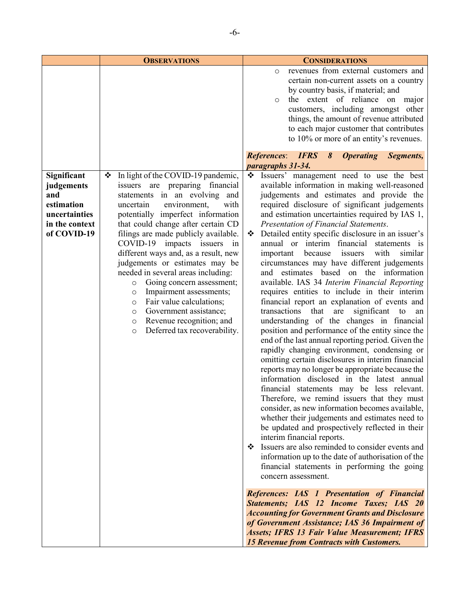|                                                                                                  | <b>OBSERVATIONS</b>                                                                                                                                                                                                                                                                                                                                                                                                                                                                                                                                                                                                                                | <b>CONSIDERATIONS</b>                                                                                                                                                                                                                                                                                                                                                                                                                                                                                                                                                                                                                                                                                                                                                                                                                                                                                                                                                                                                                                                                                                                                                                                                                                                                                                                                                                                                                                                                                                                                                                                                                                                                                                                                                                                                                                                                                                  |
|--------------------------------------------------------------------------------------------------|----------------------------------------------------------------------------------------------------------------------------------------------------------------------------------------------------------------------------------------------------------------------------------------------------------------------------------------------------------------------------------------------------------------------------------------------------------------------------------------------------------------------------------------------------------------------------------------------------------------------------------------------------|------------------------------------------------------------------------------------------------------------------------------------------------------------------------------------------------------------------------------------------------------------------------------------------------------------------------------------------------------------------------------------------------------------------------------------------------------------------------------------------------------------------------------------------------------------------------------------------------------------------------------------------------------------------------------------------------------------------------------------------------------------------------------------------------------------------------------------------------------------------------------------------------------------------------------------------------------------------------------------------------------------------------------------------------------------------------------------------------------------------------------------------------------------------------------------------------------------------------------------------------------------------------------------------------------------------------------------------------------------------------------------------------------------------------------------------------------------------------------------------------------------------------------------------------------------------------------------------------------------------------------------------------------------------------------------------------------------------------------------------------------------------------------------------------------------------------------------------------------------------------------------------------------------------------|
|                                                                                                  |                                                                                                                                                                                                                                                                                                                                                                                                                                                                                                                                                                                                                                                    | revenues from external customers and<br>$\circ$<br>certain non-current assets on a country<br>by country basis, if material; and<br>the extent of reliance on major<br>$\circ$<br>customers, including amongst other<br>things, the amount of revenue attributed<br>to each major customer that contributes<br>to 10% or more of an entity's revenues.                                                                                                                                                                                                                                                                                                                                                                                                                                                                                                                                                                                                                                                                                                                                                                                                                                                                                                                                                                                                                                                                                                                                                                                                                                                                                                                                                                                                                                                                                                                                                                 |
|                                                                                                  |                                                                                                                                                                                                                                                                                                                                                                                                                                                                                                                                                                                                                                                    | <b>References: IFRS</b><br>8<br><b>Operating</b><br>Segments,<br>paragraphs 31-34.                                                                                                                                                                                                                                                                                                                                                                                                                                                                                                                                                                                                                                                                                                                                                                                                                                                                                                                                                                                                                                                                                                                                                                                                                                                                                                                                                                                                                                                                                                                                                                                                                                                                                                                                                                                                                                     |
| Significant<br>judgements<br>and<br>estimation<br>uncertainties<br>in the context<br>of COVID-19 | In light of the COVID-19 pandemic,<br>❖<br>issuers are preparing financial<br>statements in an evolving and<br>uncertain<br>environment,<br>with<br>potentially imperfect information<br>that could change after certain CD<br>filings are made publicly available.<br>COVID-19 impacts issuers in<br>different ways and, as a result, new<br>judgements or estimates may be<br>needed in several areas including:<br>Going concern assessment;<br>$\circ$<br>Impairment assessments;<br>$\circ$<br>Fair value calculations;<br>$\circ$<br>Government assistance;<br>O<br>Revenue recognition; and<br>O<br>Deferred tax recoverability.<br>$\circ$ | ❖<br>Issuers' management need to use the best<br>available information in making well-reasoned<br>judgements and estimates and provide the<br>required disclosure of significant judgements<br>and estimation uncertainties required by IAS 1,<br>Presentation of Financial Statements.<br>Detailed entity specific disclosure in an issuer's<br>❖<br>annual or interim financial statements is<br>because<br>issuers<br>with<br>similar<br>important<br>circumstances may have different judgements<br>and estimates based on the information<br>available. IAS 34 Interim Financial Reporting<br>requires entities to include in their interim<br>financial report an explanation of events and<br>transactions that<br>are<br>significant<br>to<br>an<br>understanding of the changes in financial<br>position and performance of the entity since the<br>end of the last annual reporting period. Given the<br>rapidly changing environment, condensing or<br>omitting certain disclosures in interim financial<br>reports may no longer be appropriate because the<br>information disclosed in the latest annual<br>financial statements may be less relevant.<br>Therefore, we remind issuers that they must<br>consider, as new information becomes available,<br>whether their judgements and estimates need to<br>be updated and prospectively reflected in their<br>interim financial reports.<br>Issuers are also reminded to consider events and<br>❖<br>information up to the date of authorisation of the<br>financial statements in performing the going<br>concern assessment.<br><b>References: IAS 1 Presentation of Financial</b><br>Statements; IAS 12 Income Taxes; IAS 20<br><b>Accounting for Government Grants and Disclosure</b><br>of Government Assistance; IAS 36 Impairment of<br><b>Assets; IFRS 13 Fair Value Measurement; IFRS</b><br><b>15 Revenue from Contracts with Customers.</b> |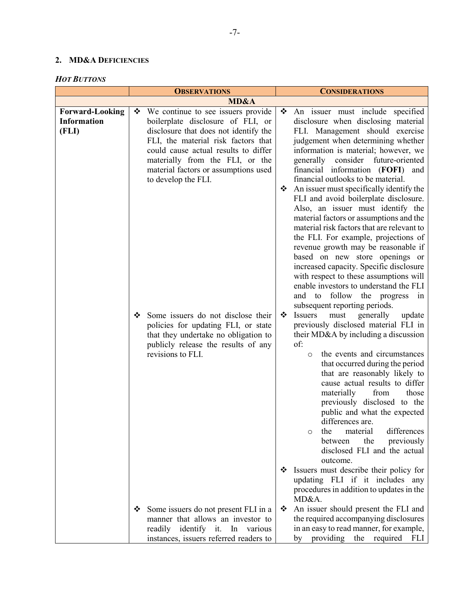# **2. MD&A DEFICIENCIES**

| <b>HOT BUTTONS</b> |  |
|--------------------|--|
|--------------------|--|

| <b>OBSERVATIONS</b>                                   |        | <b>CONSIDERATIONS</b>                                                                                                                                                                                                                                                                                                                                                                                                                                                              |             |                                                                                                                                                                                                                                                                                                                                                                                                                                                                                                                                                                                                                                                                                                                                                                                                                                                                                                                                                                                                                                                                                                                                                                                                                                                            |
|-------------------------------------------------------|--------|------------------------------------------------------------------------------------------------------------------------------------------------------------------------------------------------------------------------------------------------------------------------------------------------------------------------------------------------------------------------------------------------------------------------------------------------------------------------------------|-------------|------------------------------------------------------------------------------------------------------------------------------------------------------------------------------------------------------------------------------------------------------------------------------------------------------------------------------------------------------------------------------------------------------------------------------------------------------------------------------------------------------------------------------------------------------------------------------------------------------------------------------------------------------------------------------------------------------------------------------------------------------------------------------------------------------------------------------------------------------------------------------------------------------------------------------------------------------------------------------------------------------------------------------------------------------------------------------------------------------------------------------------------------------------------------------------------------------------------------------------------------------------|
|                                                       |        | MD&A                                                                                                                                                                                                                                                                                                                                                                                                                                                                               |             |                                                                                                                                                                                                                                                                                                                                                                                                                                                                                                                                                                                                                                                                                                                                                                                                                                                                                                                                                                                                                                                                                                                                                                                                                                                            |
| <b>Forward-Looking</b><br><b>Information</b><br>(FLI) | ❖<br>❖ | We continue to see issuers provide<br>boilerplate disclosure of FLI, or<br>disclosure that does not identify the<br>FLI, the material risk factors that<br>could cause actual results to differ<br>materially from the FLI, or the<br>material factors or assumptions used<br>to develop the FLI.<br>Some issuers do not disclose their<br>policies for updating FLI, or state<br>that they undertake no obligation to<br>publicly release the results of any<br>revisions to FLI. | ❖<br>❖<br>❖ | An issuer must include specified<br>disclosure when disclosing material<br>FLI. Management should exercise<br>judgement when determining whether<br>information is material; however, we<br>generally<br>consider<br>future-oriented<br>financial information (FOFI) and<br>financial outlooks to be material.<br>An issuer must specifically identify the<br>FLI and avoid boilerplate disclosure.<br>Also, an issuer must identify the<br>material factors or assumptions and the<br>material risk factors that are relevant to<br>the FLI. For example, projections of<br>revenue growth may be reasonable if<br>based on new store openings or<br>increased capacity. Specific disclosure<br>with respect to these assumptions will<br>enable investors to understand the FLI<br>and to follow the progress<br>1n<br>subsequent reporting periods.<br>Issuers<br>must<br>generally<br>update<br>previously disclosed material FLI in<br>their MD&A by including a discussion<br>of:<br>the events and circumstances<br>$\circ$<br>that occurred during the period<br>that are reasonably likely to<br>cause actual results to differ<br>materially<br>from<br>those<br>previously disclosed to the<br>public and what the expected<br>differences are. |
|                                                       |        |                                                                                                                                                                                                                                                                                                                                                                                                                                                                                    |             | material<br>differences<br>the<br>$\circ$<br>the<br>previously<br>between<br>disclosed FLI and the actual<br>outcome.                                                                                                                                                                                                                                                                                                                                                                                                                                                                                                                                                                                                                                                                                                                                                                                                                                                                                                                                                                                                                                                                                                                                      |
|                                                       |        |                                                                                                                                                                                                                                                                                                                                                                                                                                                                                    | ❖           | Issuers must describe their policy for<br>updating FLI if it includes any<br>procedures in addition to updates in the<br>MD&A.                                                                                                                                                                                                                                                                                                                                                                                                                                                                                                                                                                                                                                                                                                                                                                                                                                                                                                                                                                                                                                                                                                                             |
|                                                       | ❖      | Some issuers do not present FLI in a<br>manner that allows an investor to<br>readily identify it. In various<br>instances, issuers referred readers to                                                                                                                                                                                                                                                                                                                             | ❖           | An issuer should present the FLI and<br>the required accompanying disclosures<br>in an easy to read manner, for example,<br>by providing the required FLI                                                                                                                                                                                                                                                                                                                                                                                                                                                                                                                                                                                                                                                                                                                                                                                                                                                                                                                                                                                                                                                                                                  |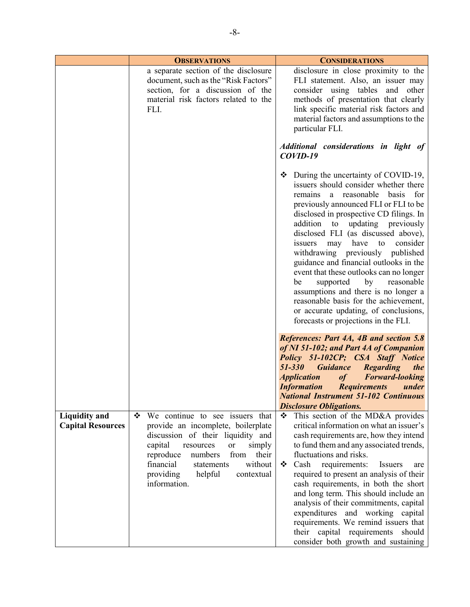|                                                  | <b>OBSERVATIONS</b>                                                                                                                                                                                                                                                                                 | <b>CONSIDERATIONS</b>                                                                                                                                                                                                                                                                                                                                                                                                                                                                                                                                                                                                                                                                 |
|--------------------------------------------------|-----------------------------------------------------------------------------------------------------------------------------------------------------------------------------------------------------------------------------------------------------------------------------------------------------|---------------------------------------------------------------------------------------------------------------------------------------------------------------------------------------------------------------------------------------------------------------------------------------------------------------------------------------------------------------------------------------------------------------------------------------------------------------------------------------------------------------------------------------------------------------------------------------------------------------------------------------------------------------------------------------|
|                                                  | a separate section of the disclosure<br>document, such as the "Risk Factors"<br>section, for a discussion of the<br>material risk factors related to the<br>FLI.                                                                                                                                    | disclosure in close proximity to the<br>FLI statement. Also, an issuer may<br>consider using tables and other<br>methods of presentation that clearly<br>link specific material risk factors and<br>material factors and assumptions to the<br>particular FLI.<br>Additional considerations in light of                                                                                                                                                                                                                                                                                                                                                                               |
|                                                  |                                                                                                                                                                                                                                                                                                     | $COVID-19$<br>$\bullet$ During the uncertainty of COVID-19,<br>issuers should consider whether there<br>remains a reasonable basis for<br>previously announced FLI or FLI to be<br>disclosed in prospective CD filings. In<br>addition to<br>updating previously<br>disclosed FLI (as discussed above),<br>may<br>have<br>to<br>consider<br>issuers<br>withdrawing previously published<br>guidance and financial outlooks in the<br>event that these outlooks can no longer<br>by<br>supported<br>reasonable<br>be<br>assumptions and there is no longer a<br>reasonable basis for the achievement,<br>or accurate updating, of conclusions,<br>forecasts or projections in the FLI. |
|                                                  |                                                                                                                                                                                                                                                                                                     | References: Part 4A, 4B and section 5.8<br>of NI 51-102; and Part 4A of Companion<br>Policy 51-102CP; CSA Staff Notice<br>$51 - 330$<br><b>Guidance</b><br><b>Regarding</b><br>the<br><i><b>Application</b></i><br><b>Forward-looking</b><br>of<br><b>Information</b> Requirements<br>under<br><b>National Instrument 51-102 Continuous</b><br><b>Disclosure Obligations.</b>                                                                                                                                                                                                                                                                                                         |
| <b>Liquidity and</b><br><b>Capital Resources</b> | We continue to see issuers that<br>❖<br>provide an incomplete, boilerplate<br>discussion of their liquidity and<br>simply<br>capital<br>resources<br><b>or</b><br>reproduce<br>from<br>their<br>numbers<br>financial<br>without<br>statements<br>providing<br>helpful<br>contextual<br>information. | This section of the MD&A provides<br>❖<br>critical information on what an issuer's<br>cash requirements are, how they intend<br>to fund them and any associated trends,<br>fluctuations and risks.<br>requirements:<br>Cash<br>Issuers<br>❖<br>are<br>required to present an analysis of their<br>cash requirements, in both the short<br>and long term. This should include an<br>analysis of their commitments, capital<br>expenditures and working capital<br>requirements. We remind issuers that<br>their capital requirements<br>should<br>consider both growth and sustaining                                                                                                  |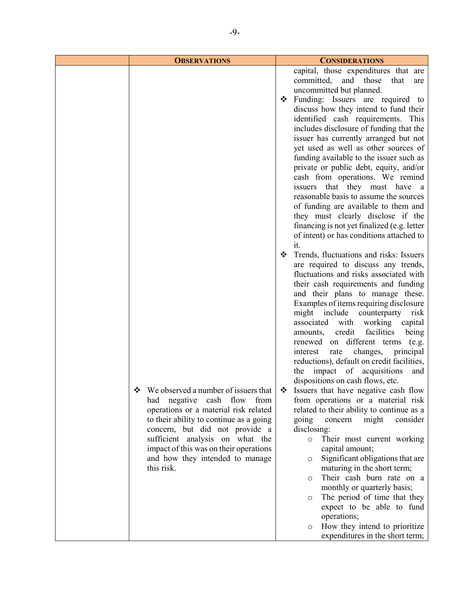| capital, those expenditures that are<br>committed, and those                                                                                                                                                                                                                                                                                                                                                                                                                                                                                                                                                                                                                                                                                                                                                                                                                                                                                                                                                                                                                                                                                             |                                                                                                                                                                                                                                                                                                                                                        |
|----------------------------------------------------------------------------------------------------------------------------------------------------------------------------------------------------------------------------------------------------------------------------------------------------------------------------------------------------------------------------------------------------------------------------------------------------------------------------------------------------------------------------------------------------------------------------------------------------------------------------------------------------------------------------------------------------------------------------------------------------------------------------------------------------------------------------------------------------------------------------------------------------------------------------------------------------------------------------------------------------------------------------------------------------------------------------------------------------------------------------------------------------------|--------------------------------------------------------------------------------------------------------------------------------------------------------------------------------------------------------------------------------------------------------------------------------------------------------------------------------------------------------|
| uncommitted but planned.<br>Funding: Issuers are required to<br>❖<br>discuss how they intend to fund their<br>identified cash requirements. This<br>includes disclosure of funding that the<br>issuer has currently arranged but not<br>yet used as well as other sources of<br>funding available to the issuer such as<br>private or public debt, equity, and/or<br>cash from operations. We remind<br>issuers that they must have a<br>reasonable basis to assume the sources<br>of funding are available to them and<br>they must clearly disclose if the<br>financing is not yet finalized (e.g. letter                                                                                                                                                                                                                                                                                                                                                                                                                                                                                                                                              | that<br>are                                                                                                                                                                                                                                                                                                                                            |
| of intent) or has conditions attached to<br>it.<br>Trends, fluctuations and risks: Issuers<br>❖<br>are required to discuss any trends,<br>fluctuations and risks associated with<br>their cash requirements and funding<br>and their plans to manage these.<br>Examples of items requiring disclosure<br>might include counterparty<br>associated with working<br>credit<br>amounts,<br>renewed on different terms (e.g.<br>rate<br>interest<br>reductions), default on credit facilities,<br>the impact of acquisitions<br>dispositions on cash flows, etc.<br>We observed a number of issuers that<br>Issuers that have negative cash flow<br>❖<br>❖<br>had negative cash flow from<br>from operations or a material risk<br>operations or a material risk related<br>related to their ability to continue as a<br>to their ability to continue as a going<br>going<br>concern<br>concern, but did not provide a<br>disclosing:<br>sufficient analysis on what the<br>$\circ$<br>impact of this was on their operations<br>capital amount;<br>and how they intended to manage<br>$\circ$<br>this risk.<br>$\circ$<br>$\circ$<br>operations;<br>$\circ$ | risk<br>capital<br>facilities<br>being<br>changes,<br>principal<br>and<br>might<br>consider<br>Their most current working<br>Significant obligations that are<br>maturing in the short term;<br>Their cash burn rate on a<br>monthly or quarterly basis;<br>The period of time that they<br>expect to be able to fund<br>How they intend to prioritize |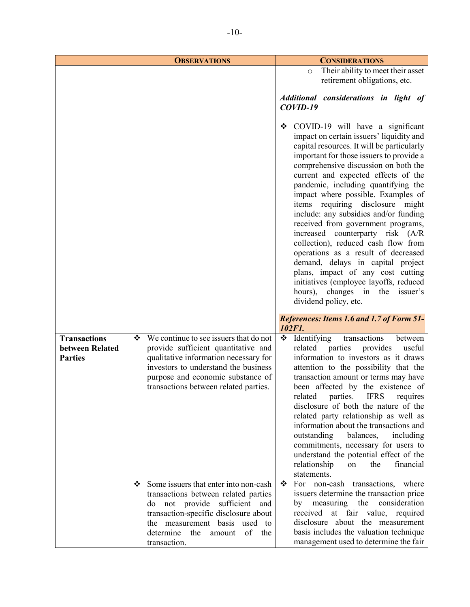|                                                          | <b>OBSERVATIONS</b>                                                                                                                                                                                                                               | <b>CONSIDERATIONS</b>                                                                                                                                                                                                                                                                                                                                                                                                                                                                                                                                                                                                                                                                                                                                        |
|----------------------------------------------------------|---------------------------------------------------------------------------------------------------------------------------------------------------------------------------------------------------------------------------------------------------|--------------------------------------------------------------------------------------------------------------------------------------------------------------------------------------------------------------------------------------------------------------------------------------------------------------------------------------------------------------------------------------------------------------------------------------------------------------------------------------------------------------------------------------------------------------------------------------------------------------------------------------------------------------------------------------------------------------------------------------------------------------|
|                                                          |                                                                                                                                                                                                                                                   | Their ability to meet their asset<br>$\circ$                                                                                                                                                                                                                                                                                                                                                                                                                                                                                                                                                                                                                                                                                                                 |
|                                                          |                                                                                                                                                                                                                                                   | retirement obligations, etc.                                                                                                                                                                                                                                                                                                                                                                                                                                                                                                                                                                                                                                                                                                                                 |
|                                                          |                                                                                                                                                                                                                                                   | Additional considerations in light of<br>$COVID-19$                                                                                                                                                                                                                                                                                                                                                                                                                                                                                                                                                                                                                                                                                                          |
|                                                          |                                                                                                                                                                                                                                                   | ❖ COVID-19 will have a significant<br>impact on certain issuers' liquidity and<br>capital resources. It will be particularly<br>important for those issuers to provide a<br>comprehensive discussion on both the<br>current and expected effects of the<br>pandemic, including quantifying the<br>impact where possible. Examples of<br>items requiring disclosure<br>might<br>include: any subsidies and/or funding<br>received from government programs,<br>increased counterparty risk (A/R<br>collection), reduced cash flow from<br>operations as a result of decreased<br>demand, delays in capital project<br>plans, impact of any cost cutting<br>initiatives (employee layoffs, reduced<br>hours), changes in the issuer's<br>dividend policy, etc. |
|                                                          |                                                                                                                                                                                                                                                   | <b>References: Items 1.6 and 1.7 of Form 51-</b><br>102F1.                                                                                                                                                                                                                                                                                                                                                                                                                                                                                                                                                                                                                                                                                                   |
| <b>Transactions</b><br>between Related<br><b>Parties</b> | We continue to see issuers that do not<br>❖<br>provide sufficient quantitative and<br>qualitative information necessary for<br>investors to understand the business<br>purpose and economic substance of<br>transactions between related parties. | ❖<br>Identifying<br>transactions<br>between<br>parties<br>provides<br>related<br>useful<br>information to investors as it draws<br>attention to the possibility that the<br>transaction amount or terms may have<br>been affected by the existence of<br>parties. IFRS<br>related<br>requires<br>disclosure of both the nature of the<br>related party relationship as well as<br>information about the transactions and<br>outstanding balances,<br>including<br>commitments, necessary for users to<br>understand the potential effect of the<br>financial<br>relationship<br>the<br>on<br>statements.                                                                                                                                                     |
|                                                          | Some issuers that enter into non-cash<br>❖<br>transactions between related parties<br>do not provide sufficient and<br>transaction-specific disclosure about<br>the measurement basis used to<br>of the<br>determine the amount<br>transaction.   | For non-cash transactions, where<br>❖<br>issuers determine the transaction price<br>consideration<br>by measuring the<br>received at fair value, required<br>disclosure about the measurement<br>basis includes the valuation technique<br>management used to determine the fair                                                                                                                                                                                                                                                                                                                                                                                                                                                                             |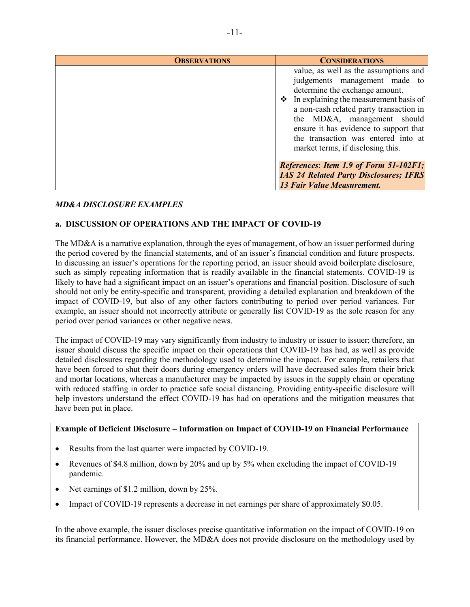| <b>OBSERVATIONS</b> | <b>CONSIDERATIONS</b>                                                                                                                                                                                                                                                                                                                                     |
|---------------------|-----------------------------------------------------------------------------------------------------------------------------------------------------------------------------------------------------------------------------------------------------------------------------------------------------------------------------------------------------------|
|                     | value, as well as the assumptions and<br>judgements management made to<br>determine the exchange amount.<br>$\div$ In explaining the measurement basis of<br>a non-cash related party transaction in<br>the MD&A, management should<br>ensure it has evidence to support that<br>the transaction was entered into at<br>market terms, if disclosing this. |
|                     | References: Item 1.9 of Form 51-102F1;<br><b>IAS 24 Related Party Disclosures; IFRS</b><br><b>13 Fair Value Measurement.</b>                                                                                                                                                                                                                              |

# *MD&A DISCLOSURE EXAMPLES*

# **a. DISCUSSION OF OPERATIONS AND THE IMPACT OF COVID-19**

The MD&A is a narrative explanation, through the eyes of management, of how an issuer performed during the period covered by the financial statements, and of an issuer's financial condition and future prospects. In discussing an issuer's operations for the reporting period, an issuer should avoid boilerplate disclosure, such as simply repeating information that is readily available in the financial statements. COVID-19 is likely to have had a significant impact on an issuer's operations and financial position. Disclosure of such should not only be entity-specific and transparent, providing a detailed explanation and breakdown of the impact of COVID-19, but also of any other factors contributing to period over period variances. For example, an issuer should not incorrectly attribute or generally list COVID-19 as the sole reason for any period over period variances or other negative news.

The impact of COVID-19 may vary significantly from industry to industry or issuer to issuer; therefore, an issuer should discuss the specific impact on their operations that COVID-19 has had, as well as provide detailed disclosures regarding the methodology used to determine the impact. For example, retailers that have been forced to shut their doors during emergency orders will have decreased sales from their brick and mortar locations, whereas a manufacturer may be impacted by issues in the supply chain or operating with reduced staffing in order to practice safe social distancing. Providing entity-specific disclosure will help investors understand the effect COVID-19 has had on operations and the mitigation measures that have been put in place.

#### **Example of Deficient Disclosure – Information on Impact of COVID-19 on Financial Performance**

- Results from the last quarter were impacted by COVID-19.
- Revenues of \$4.8 million, down by 20% and up by 5% when excluding the impact of COVID-19 pandemic.
- Net earnings of \$1.2 million, down by 25%.
- Impact of COVID-19 represents a decrease in net earnings per share of approximately \$0.05.

In the above example, the issuer discloses precise quantitative information on the impact of COVID-19 on its financial performance. However, the MD&A does not provide disclosure on the methodology used by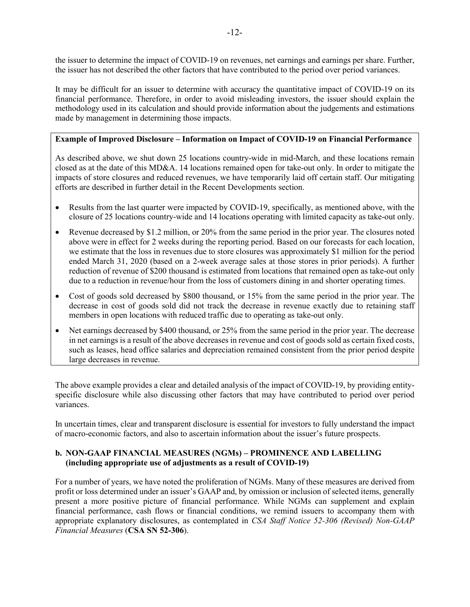the issuer to determine the impact of COVID-19 on revenues, net earnings and earnings per share. Further, the issuer has not described the other factors that have contributed to the period over period variances.

It may be difficult for an issuer to determine with accuracy the quantitative impact of COVID-19 on its financial performance. Therefore, in order to avoid misleading investors, the issuer should explain the methodology used in its calculation and should provide information about the judgements and estimations made by management in determining those impacts.

# **Example of Improved Disclosure – Information on Impact of COVID-19 on Financial Performance**

As described above, we shut down 25 locations country-wide in mid-March, and these locations remain closed as at the date of this MD&A. 14 locations remained open for take-out only. In order to mitigate the impacts of store closures and reduced revenues, we have temporarily laid off certain staff. Our mitigating efforts are described in further detail in the Recent Developments section.

- Results from the last quarter were impacted by COVID-19, specifically, as mentioned above, with the closure of 25 locations country-wide and 14 locations operating with limited capacity as take-out only.
- Revenue decreased by \$1.2 million, or 20% from the same period in the prior year. The closures noted above were in effect for 2 weeks during the reporting period. Based on our forecasts for each location, we estimate that the loss in revenues due to store closures was approximately \$1 million for the period ended March 31, 2020 (based on a 2-week average sales at those stores in prior periods). A further reduction of revenue of \$200 thousand is estimated from locations that remained open as take-out only due to a reduction in revenue/hour from the loss of customers dining in and shorter operating times.
- Cost of goods sold decreased by \$800 thousand, or 15% from the same period in the prior year. The decrease in cost of goods sold did not track the decrease in revenue exactly due to retaining staff members in open locations with reduced traffic due to operating as take-out only.
- Net earnings decreased by \$400 thousand, or 25% from the same period in the prior year. The decrease in net earnings is a result of the above decreases in revenue and cost of goods sold as certain fixed costs, such as leases, head office salaries and depreciation remained consistent from the prior period despite large decreases in revenue.

The above example provides a clear and detailed analysis of the impact of COVID-19, by providing entityspecific disclosure while also discussing other factors that may have contributed to period over period variances.

In uncertain times, clear and transparent disclosure is essential for investors to fully understand the impact of macro-economic factors, and also to ascertain information about the issuer's future prospects.

# **b. NON-GAAP FINANCIAL MEASURES (NGMs) – PROMINENCE AND LABELLING (including appropriate use of adjustments as a result of COVID-19)**

For a number of years, we have noted the proliferation of NGMs. Many of these measures are derived from profit or loss determined under an issuer's GAAP and, by omission or inclusion of selected items, generally present a more positive picture of financial performance. While NGMs can supplement and explain financial performance, cash flows or financial conditions, we remind issuers to accompany them with appropriate explanatory disclosures, as contemplated in *CSA Staff Notice 52-306 (Revised) Non-GAAP Financial Measures* (**CSA SN 52-306**).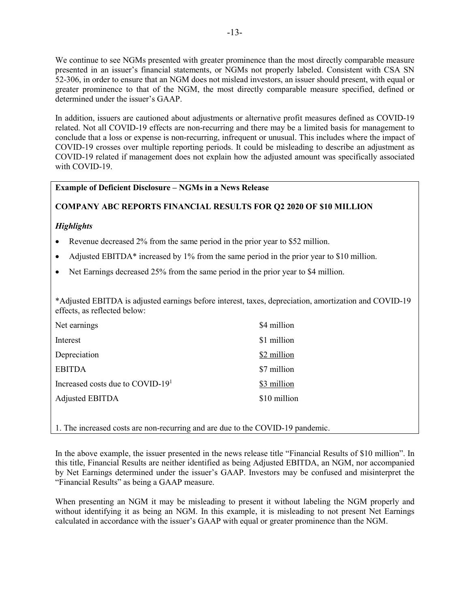We continue to see NGMs presented with greater prominence than the most directly comparable measure presented in an issuer's financial statements, or NGMs not properly labeled. Consistent with CSA SN 52-306, in order to ensure that an NGM does not mislead investors, an issuer should present, with equal or greater prominence to that of the NGM, the most directly comparable measure specified, defined or determined under the issuer's GAAP.

In addition, issuers are cautioned about adjustments or alternative profit measures defined as COVID-19 related. Not all COVID-19 effects are non-recurring and there may be a limited basis for management to conclude that a loss or expense is non-recurring, infrequent or unusual. This includes where the impact of COVID-19 crosses over multiple reporting periods. It could be misleading to describe an adjustment as COVID-19 related if management does not explain how the adjusted amount was specifically associated with COVID-19.

# **Example of Deficient Disclosure – NGMs in a News Release**

# **COMPANY ABC REPORTS FINANCIAL RESULTS FOR Q2 2020 OF \$10 MILLION**

# *Highlights*

- Revenue decreased 2% from the same period in the prior year to \$52 million.
- Adjusted EBITDA\* increased by 1% from the same period in the prior year to \$10 million.
- Net Earnings decreased 25% from the same period in the prior year to \$4 million.

\*Adjusted EBITDA is adjusted earnings before interest, taxes, depreciation, amortization and COVID-19 effects, as reflected below:

| Net earnings                                 | \$4 million  |
|----------------------------------------------|--------------|
| Interest                                     | \$1 million  |
| Depreciation                                 | \$2 million  |
| <b>EBITDA</b>                                | \$7 million  |
| Increased costs due to COVID-19 <sup>1</sup> | \$3 million  |
| Adjusted EBITDA                              | \$10 million |

1. The increased costs are non-recurring and are due to the COVID-19 pandemic.

In the above example, the issuer presented in the news release title "Financial Results of \$10 million". In this title, Financial Results are neither identified as being Adjusted EBITDA, an NGM, nor accompanied by Net Earnings determined under the issuer's GAAP. Investors may be confused and misinterpret the "Financial Results" as being a GAAP measure.

When presenting an NGM it may be misleading to present it without labeling the NGM properly and without identifying it as being an NGM. In this example, it is misleading to not present Net Earnings calculated in accordance with the issuer's GAAP with equal or greater prominence than the NGM.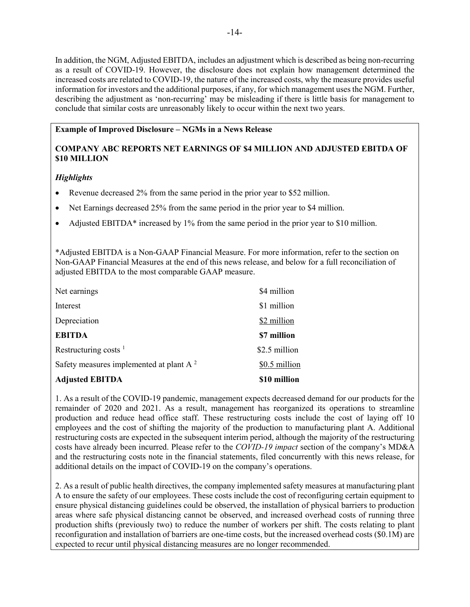In addition, the NGM, Adjusted EBITDA, includes an adjustment which is described as being non-recurring as a result of COVID-19. However, the disclosure does not explain how management determined the increased costs are related to COVID-19, the nature of the increased costs, why the measure provides useful information for investors and the additional purposes, if any, for which management uses the NGM. Further, describing the adjustment as 'non-recurring' may be misleading if there is little basis for management to conclude that similar costs are unreasonably likely to occur within the next two years.

# **Example of Improved Disclosure – NGMs in a News Release**

# **COMPANY ABC REPORTS NET EARNINGS OF \$4 MILLION AND ADJUSTED EBITDA OF \$10 MILLION**

# *Highlights*

- Revenue decreased 2% from the same period in the prior year to \$52 million.
- Net Earnings decreased 25% from the same period in the prior year to \$4 million.
- Adjusted EBITDA\* increased by 1% from the same period in the prior year to \$10 million.

\*Adjusted EBITDA is a Non-GAAP Financial Measure. For more information, refer to the section on Non-GAAP Financial Measures at the end of this news release, and below for a full reconciliation of adjusted EBITDA to the most comparable GAAP measure.

| Net earnings                                        | \$4 million   |
|-----------------------------------------------------|---------------|
| Interest                                            | \$1 million   |
| Depreciation                                        | \$2 million   |
| <b>EBITDA</b>                                       | \$7 million   |
| Restructuring costs $1$                             | \$2.5 million |
| Safety measures implemented at plant A <sup>2</sup> | \$0.5 million |
| <b>Adjusted EBITDA</b>                              | \$10 million  |

1. As a result of the COVID-19 pandemic, management expects decreased demand for our products for the remainder of 2020 and 2021. As a result, management has reorganized its operations to streamline production and reduce head office staff. These restructuring costs include the cost of laying off 10 employees and the cost of shifting the majority of the production to manufacturing plant A. Additional restructuring costs are expected in the subsequent interim period, although the majority of the restructuring costs have already been incurred. Please refer to the *COVID-19 impact* section of the company's MD&A and the restructuring costs note in the financial statements, filed concurrently with this news release, for additional details on the impact of COVID-19 on the company's operations.

2. As a result of public health directives, the company implemented safety measures at manufacturing plant A to ensure the safety of our employees. These costs include the cost of reconfiguring certain equipment to ensure physical distancing guidelines could be observed, the installation of physical barriers to production areas where safe physical distancing cannot be observed, and increased overhead costs of running three production shifts (previously two) to reduce the number of workers per shift. The costs relating to plant reconfiguration and installation of barriers are one-time costs, but the increased overhead costs (\$0.1M) are expected to recur until physical distancing measures are no longer recommended.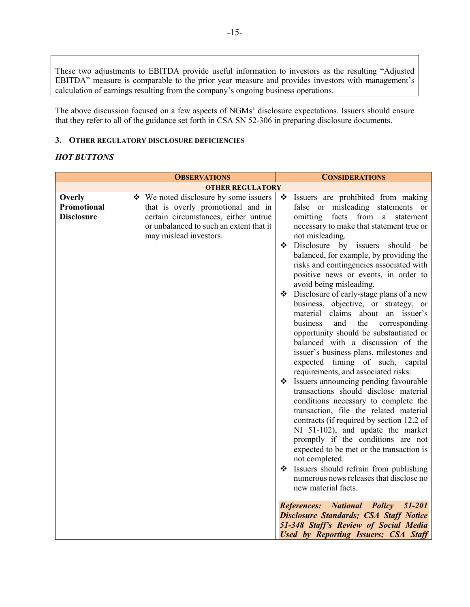These two adjustments to EBITDA provide useful information to investors as the resulting "Adjusted EBITDA" measure is comparable to the prior year measure and provides investors with management's calculation of earnings resulting from the company's ongoing business operations.

The above discussion focused on a few aspects of NGMs' disclosure expectations. Issuers should ensure that they refer to all of the guidance set forth in CSA SN 52-306 in preparing disclosure documents.

## **3. OTHER REGULATORY DISCLOSURE DEFICIENCIES**

# *HOT BUTTONS*

|                         | <b>OBSERVATIONS</b>                                                        | <b>CONSIDERATIONS</b>                                                        |  |
|-------------------------|----------------------------------------------------------------------------|------------------------------------------------------------------------------|--|
| <b>OTHER REGULATORY</b> |                                                                            |                                                                              |  |
| Overly<br>Promotional   | ❖ We noted disclosure by some issuers<br>that is overly promotional and in | Issuers are prohibited from making<br>❖<br>false or misleading statements or |  |
| <b>Disclosure</b>       | certain circumstances, either untrue                                       | facts from a<br>omitting<br>statement                                        |  |
|                         | or unbalanced to such an extent that it                                    | necessary to make that statement true or                                     |  |
|                         | may mislead investors.                                                     | not misleading.                                                              |  |
|                         |                                                                            | $\bullet$ Disclosure by issuers<br>should be                                 |  |
|                         |                                                                            | balanced, for example, by providing the                                      |  |
|                         |                                                                            | risks and contingencies associated with                                      |  |
|                         |                                                                            | positive news or events, in order to                                         |  |
|                         |                                                                            | avoid being misleading.                                                      |  |
|                         |                                                                            | Disclosure of early-stage plans of a new                                     |  |
|                         |                                                                            | business, objective, or strategy, or                                         |  |
|                         |                                                                            | material claims about an issuer's                                            |  |
|                         |                                                                            | business<br>the corresponding<br>and                                         |  |
|                         |                                                                            | opportunity should be substantiated or                                       |  |
|                         |                                                                            | balanced with a discussion of the                                            |  |
|                         |                                                                            | issuer's business plans, milestones and                                      |  |
|                         |                                                                            | expected timing of such, capital                                             |  |
|                         |                                                                            | requirements, and associated risks.<br>States announcing pending favourable  |  |
|                         |                                                                            | transactions should disclose material                                        |  |
|                         |                                                                            | conditions necessary to complete the                                         |  |
|                         |                                                                            | transaction, file the related material                                       |  |
|                         |                                                                            | contracts (if required by section 12.2 of                                    |  |
|                         |                                                                            | NI 51-102), and update the market                                            |  |
|                         |                                                                            | promptly if the conditions are not                                           |  |
|                         |                                                                            | expected to be met or the transaction is                                     |  |
|                         |                                                                            | not completed.                                                               |  |
|                         |                                                                            | Strategies Should refrain from publishing                                    |  |
|                         |                                                                            | numerous news releases that disclose no                                      |  |
|                         |                                                                            | new material facts.                                                          |  |
|                         |                                                                            | <b>References:</b> National Policy 51-201                                    |  |
|                         |                                                                            | <b>Disclosure Standards; CSA Staff Notice</b>                                |  |
|                         |                                                                            | 51-348 Staff's Review of Social Media                                        |  |
|                         |                                                                            | Used by Reporting Issuers; CSA Staff                                         |  |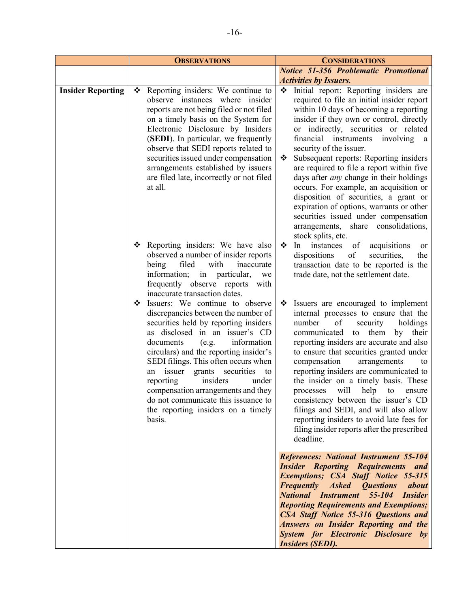|                          | <b>OBSERVATIONS</b>                                                                                                                                                                                                                                                                                                                                                                                                                                                                                                                                                                                                                                                                                                    | <b>CONSIDERATIONS</b>                                                                                                                                                                                                                                                                                                                                                                                                                                                                                                                                                                                                                                                                                                                                                                             |
|--------------------------|------------------------------------------------------------------------------------------------------------------------------------------------------------------------------------------------------------------------------------------------------------------------------------------------------------------------------------------------------------------------------------------------------------------------------------------------------------------------------------------------------------------------------------------------------------------------------------------------------------------------------------------------------------------------------------------------------------------------|---------------------------------------------------------------------------------------------------------------------------------------------------------------------------------------------------------------------------------------------------------------------------------------------------------------------------------------------------------------------------------------------------------------------------------------------------------------------------------------------------------------------------------------------------------------------------------------------------------------------------------------------------------------------------------------------------------------------------------------------------------------------------------------------------|
|                          |                                                                                                                                                                                                                                                                                                                                                                                                                                                                                                                                                                                                                                                                                                                        | <b>Notice 51-356 Problematic Promotional</b>                                                                                                                                                                                                                                                                                                                                                                                                                                                                                                                                                                                                                                                                                                                                                      |
|                          |                                                                                                                                                                                                                                                                                                                                                                                                                                                                                                                                                                                                                                                                                                                        | <b>Activities by Issuers.</b>                                                                                                                                                                                                                                                                                                                                                                                                                                                                                                                                                                                                                                                                                                                                                                     |
| <b>Insider Reporting</b> | Reporting insiders: We continue to<br>❖<br>observe instances where insider<br>reports are not being filed or not filed<br>on a timely basis on the System for<br>Electronic Disclosure by Insiders<br>(SEDI). In particular, we frequently<br>observe that SEDI reports related to<br>securities issued under compensation<br>arrangements established by issuers<br>are filed late, incorrectly or not filed<br>at all.                                                                                                                                                                                                                                                                                               | initial report: Reporting insiders are<br>required to file an initial insider report<br>within 10 days of becoming a reporting<br>insider if they own or control, directly<br>or indirectly, securities or related<br>financial instruments<br>involving<br><sub>a</sub><br>security of the issuer.<br>Subsequent reports: Reporting insiders<br>❖<br>are required to file a report within five<br>days after <i>any</i> change in their holdings<br>occurs. For example, an acquisition or<br>disposition of securities, a grant or<br>expiration of options, warrants or other<br>securities issued under compensation<br>arrangements, share consolidations,<br>stock splits, etc.                                                                                                             |
|                          | Reporting insiders: We have also<br>❖<br>observed a number of insider reports<br>filed<br>with<br>inaccurate<br>being<br>in particular,<br>information;<br>we<br>frequently observe reports with<br>inaccurate transaction dates.<br>Issuers: We continue to observe<br>❖<br>discrepancies between the number of<br>securities held by reporting insiders<br>as disclosed in an issuer's CD<br>information<br>documents<br>(e.g.<br>circulars) and the reporting insider's<br>SEDI filings. This often occurs when<br>an issuer grants securities<br>to<br>insiders<br>reporting<br>under<br>compensation arrangements and they<br>do not communicate this issuance to<br>the reporting insiders on a timely<br>basis. | ❖<br>instances<br>of<br>acquisitions<br>ln<br>or<br>dispositions<br>of<br>securities,<br>the<br>transaction date to be reported is the<br>trade date, not the settlement date.<br>Issuers are encouraged to implement<br>❖<br>internal processes to ensure that the<br>number<br>of<br>security<br>holdings<br>communicated to them<br>their<br>by<br>reporting insiders are accurate and also<br>to ensure that securities granted under<br>compensation<br>arrangements<br>to<br>reporting insiders are communicated to<br>the insider on a timely basis. These<br>will help to<br>processes<br>ensure<br>consistency between the issuer's CD<br>filings and SEDI, and will also allow<br>reporting insiders to avoid late fees for<br>filing insider reports after the prescribed<br>deadline. |
|                          |                                                                                                                                                                                                                                                                                                                                                                                                                                                                                                                                                                                                                                                                                                                        | <b>References: National Instrument 55-104</b><br><b>Insider Reporting Requirements and</b><br><b>Exemptions; CSA Staff Notice 55-315</b><br><b>Frequently</b><br><b>Asked Questions</b><br>about<br><b>National Instrument 55-104 Insider</b><br><b>Reporting Requirements and Exemptions;</b><br>CSA Staff Notice 55-316 Questions and<br><b>Answers on Insider Reporting and the</b><br><b>System for Electronic Disclosure by</b><br><b>Insiders (SEDI).</b>                                                                                                                                                                                                                                                                                                                                   |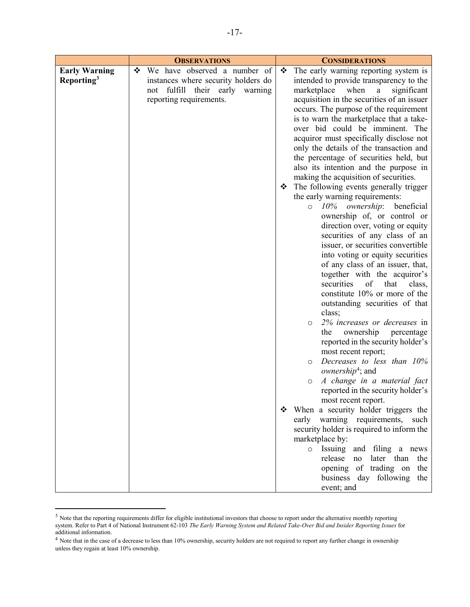|                        | <b>OBSERVATIONS</b>                 | <b>CONSIDERATIONS</b>                              |
|------------------------|-------------------------------------|----------------------------------------------------|
| <b>Early Warning</b>   | We have observed a number of<br>❖   | The early warning reporting system is<br>❖         |
| Reporting <sup>3</sup> | instances where security holders do | intended to provide transparency to the            |
|                        | fulfill their early warning<br>not  | marketplace<br>when<br>$\mathbf{a}$<br>significant |
|                        | reporting requirements.             | acquisition in the securities of an issuer         |
|                        |                                     | occurs. The purpose of the requirement             |
|                        |                                     | is to warn the marketplace that a take-            |
|                        |                                     | over bid could be imminent. The                    |
|                        |                                     | acquiror must specifically disclose not            |
|                        |                                     | only the details of the transaction and            |
|                        |                                     | the percentage of securities held, but             |
|                        |                                     | also its intention and the purpose in              |
|                        |                                     | making the acquisition of securities.              |
|                        |                                     | The following events generally trigger             |
|                        |                                     | the early warning requirements:                    |
|                        |                                     | 10% ownership: beneficial<br>$\circ$               |
|                        |                                     | ownership of, or control or                        |
|                        |                                     | direction over, voting or equity                   |
|                        |                                     | securities of any class of an                      |
|                        |                                     | issuer, or securities convertible                  |
|                        |                                     | into voting or equity securities                   |
|                        |                                     | of any class of an issuer, that,                   |
|                        |                                     | together with the acquiror's                       |
|                        |                                     | securities<br>of<br>that<br>class,                 |
|                        |                                     | constitute 10% or more of the                      |
|                        |                                     | outstanding securities of that                     |
|                        |                                     | class;                                             |
|                        |                                     | 2% increases or decreases in<br>$\circ$            |
|                        |                                     | the<br>ownership<br>percentage                     |
|                        |                                     | reported in the security holder's                  |
|                        |                                     | most recent report;<br>Decreases to less than 10%  |
|                        |                                     | $\circ$<br><i>ownership<sup>4</sup></i> ; and      |
|                        |                                     | A change in a material fact                        |
|                        |                                     | $\circ$<br>reported in the security holder's       |
|                        |                                     | most recent report.                                |
|                        |                                     | When a security holder triggers the                |
|                        |                                     | early warning requirements,<br>such                |
|                        |                                     | security holder is required to inform the          |
|                        |                                     | marketplace by:                                    |
|                        |                                     | Issuing and filing a news<br>$\circ$               |
|                        |                                     | release<br>later than the<br>no                    |
|                        |                                     | opening of trading on the                          |
|                        |                                     | business day following the                         |
|                        |                                     | event; and                                         |

<span id="page-16-0"></span> $3$  Note that the reporting requirements differ for eligible institutional investors that choose to report under the alternative monthly reporting  $\frac{3}{2}$ system. Refer to Part 4 of National Instrument 62-103 *The Early Warning System and Related Take-Over Bid and Insider Reporting Issues* for additional information.

<span id="page-16-1"></span><sup>&</sup>lt;sup>4</sup> Note that in the case of a decrease to less than 10% ownership, security holders are not required to report any further change in ownership unless they regain at least 10% ownership.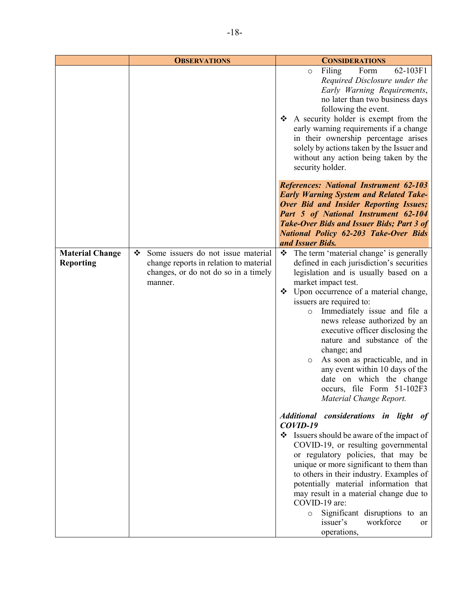|                                            | <b>OBSERVATIONS</b>                                                                                                                  | <b>CONSIDERATIONS</b>                                                                                                                                                                                                                                                                                                                                                                                                                                                                                                                                                  |
|--------------------------------------------|--------------------------------------------------------------------------------------------------------------------------------------|------------------------------------------------------------------------------------------------------------------------------------------------------------------------------------------------------------------------------------------------------------------------------------------------------------------------------------------------------------------------------------------------------------------------------------------------------------------------------------------------------------------------------------------------------------------------|
|                                            |                                                                                                                                      | Filing<br>Form<br>62-103F1<br>$\circ$<br>Required Disclosure under the<br>Early Warning Requirements,<br>no later than two business days<br>following the event.<br>$\triangle$ A security holder is exempt from the<br>early warning requirements if a change<br>in their ownership percentage arises<br>solely by actions taken by the Issuer and<br>without any action being taken by the<br>security holder.                                                                                                                                                       |
|                                            |                                                                                                                                      | <b>References: National Instrument 62-103</b><br><b>Early Warning System and Related Take-</b><br>Over Bid and Insider Reporting Issues;<br>Part 5 of National Instrument 62-104<br><b>Take-Over Bids and Issuer Bids; Part 3 of</b><br><b>National Policy 62-203 Take-Over Bids</b><br>and Issuer Bids.                                                                                                                                                                                                                                                               |
| <b>Material Change</b><br><b>Reporting</b> | Some issuers do not issue material<br>❖<br>change reports in relation to material<br>changes, or do not do so in a timely<br>manner. | The term 'material change' is generally<br>❖<br>defined in each jurisdiction's securities<br>legislation and is usually based on a<br>market impact test.<br>Upon occurrence of a material change,<br>❖<br>issuers are required to:<br>Immediately issue and file a<br>$\circ$<br>news release authorized by an<br>executive officer disclosing the<br>nature and substance of the<br>change; and<br>As soon as practicable, and in<br>$\circ$<br>any event within 10 days of the<br>date on which the change<br>occurs, file Form 51-102F3<br>Material Change Report. |
|                                            |                                                                                                                                      | Additional considerations in light of<br>$COVID-19$<br>States Should be aware of the impact of<br>COVID-19, or resulting governmental<br>or regulatory policies, that may be<br>unique or more significant to them than<br>to others in their industry. Examples of<br>potentially material information that<br>may result in a material change due to<br>COVID-19 are:<br>Significant disruptions to<br>an<br>$\circ$<br>issuer's<br>workforce<br><sub>or</sub><br>operations,                                                                                        |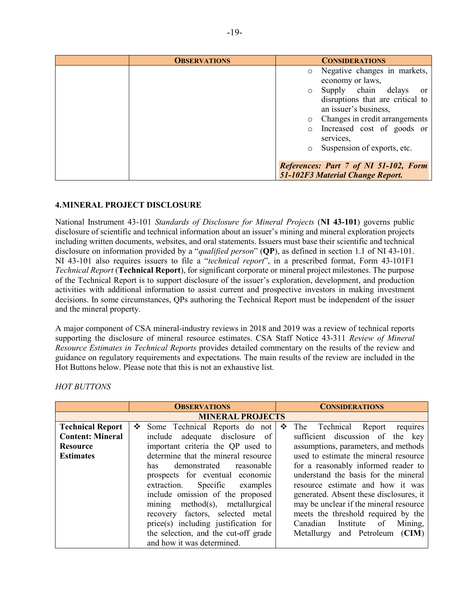| <b>OBSERVATIONS</b> |         | <b>CONSIDERATIONS</b>                        |
|---------------------|---------|----------------------------------------------|
|                     |         | o Negative changes in markets,               |
|                     |         | economy or laws,                             |
|                     |         | o Supply chain delays<br><sub>or</sub>       |
|                     |         | disruptions that are critical to             |
|                     |         | an issuer's business,                        |
|                     | $\circ$ | Changes in credit arrangements               |
|                     | $\circ$ | Increased cost of goods or                   |
|                     |         | services,                                    |
|                     |         | Suspension of exports, etc.                  |
|                     |         |                                              |
|                     |         | <b>References: Part 7 of NI 51-102, Form</b> |
|                     |         | 51-102F3 Material Change Report.             |

# **4.MINERAL PROJECT DISCLOSURE**

National Instrument 43-101 *Standards of Disclosure for Mineral Projects* (**NI 43-101**) governs public disclosure of scientific and technical information about an issuer's mining and mineral exploration projects including written documents, websites, and oral statements. Issuers must base their scientific and technical disclosure on information provided by a "*qualified person*" (**QP**), as defined in section 1.1 of NI 43-101. NI 43-101 also requires issuers to file a "*technical report*", in a prescribed format, Form 43-101F1 *Technical Report* (**Technical Report**), for significant corporate or mineral project milestones. The purpose of the Technical Report is to support disclosure of the issuer's exploration, development, and production activities with additional information to assist current and prospective investors in making investment decisions. In some circumstances, QPs authoring the Technical Report must be independent of the issuer and the mineral property.

A major component of CSA mineral-industry reviews in 2018 and 2019 was a review of technical reports supporting the disclosure of mineral resource estimates. CSA Staff Notice 43-311 *Review of Mineral Resource Estimates in Technical Reports* provides detailed commentary on the results of the review and guidance on regulatory requirements and expectations. The main results of the review are included in the Hot Buttons below. Please note that this is not an exhaustive list.

*HOT BUTTONS*

|                         | <b>OBSERVATIONS</b>                  | <b>CONSIDERATIONS</b>                   |
|-------------------------|--------------------------------------|-----------------------------------------|
|                         | <b>MINERAL PROJECTS</b>              |                                         |
| <b>Technical Report</b> | Some Technical Reports do not<br>❖   | ❖<br>The Technical Report<br>requires   |
| <b>Content: Mineral</b> | include adequate disclosure of       | sufficient discussion of the key        |
| <b>Resource</b>         | important criteria the QP used to    | assumptions, parameters, and methods    |
| <b>Estimates</b>        | determine that the mineral resource  | used to estimate the mineral resource   |
|                         | demonstrated<br>reasonable<br>has    | for a reasonably informed reader to     |
|                         | prospects for eventual economic      | understand the basis for the mineral    |
|                         | extraction. Specific examples        | resource estimate and how it was        |
|                         | include omission of the proposed     | generated. Absent these disclosures, it |
|                         | mining method(s), metallurgical      | may be unclear if the mineral resource  |
|                         | recovery factors, selected metal     | meets the threshold required by the     |
|                         | price(s) including justification for | Institute of Mining,<br>Canadian        |
|                         | the selection, and the cut-off grade | Metallurgy and Petroleum (CIM)          |
|                         | and how it was determined.           |                                         |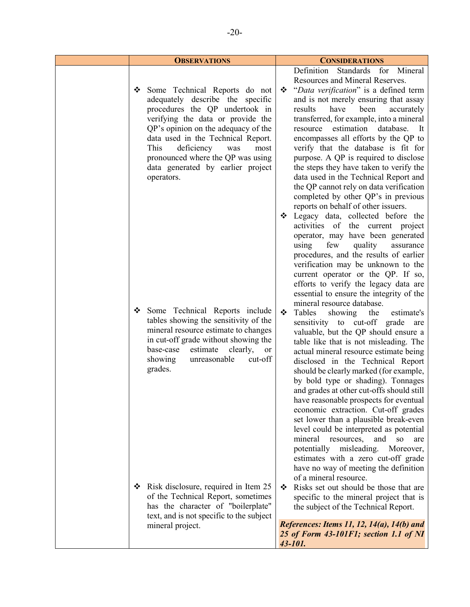| <b>OBSERVATIONS</b>                                                                                                                                                                                                                                                                                                                                     | <b>CONSIDERATIONS</b>                                                                                                                                                                                                                                                                                                                                                                                                                                                                                                                                                                                                                                                                                                                                                                                                                                                                                                                                                                                                                                                                                                                                                                                   |
|---------------------------------------------------------------------------------------------------------------------------------------------------------------------------------------------------------------------------------------------------------------------------------------------------------------------------------------------------------|---------------------------------------------------------------------------------------------------------------------------------------------------------------------------------------------------------------------------------------------------------------------------------------------------------------------------------------------------------------------------------------------------------------------------------------------------------------------------------------------------------------------------------------------------------------------------------------------------------------------------------------------------------------------------------------------------------------------------------------------------------------------------------------------------------------------------------------------------------------------------------------------------------------------------------------------------------------------------------------------------------------------------------------------------------------------------------------------------------------------------------------------------------------------------------------------------------|
| Some Technical Reports do not<br>❖<br>adequately describe the specific<br>procedures the QP undertook in<br>verifying the data or provide the<br>QP's opinion on the adequacy of the<br>data used in the Technical Report.<br>This<br>deficiency<br>was<br>most<br>pronounced where the QP was using<br>data generated by earlier project<br>operators. | Definition Standards for Mineral<br>Resources and Mineral Reserves.<br>"Data verification" is a defined term<br>❖<br>and is not merely ensuring that assay<br>have<br>results<br>been<br>accurately<br>transferred, for example, into a mineral<br>estimation<br>database.<br>resource<br>It<br>encompasses all efforts by the QP to<br>verify that the database is fit for<br>purpose. A QP is required to disclose<br>the steps they have taken to verify the<br>data used in the Technical Report and<br>the QP cannot rely on data verification<br>completed by other QP's in previous                                                                                                                                                                                                                                                                                                                                                                                                                                                                                                                                                                                                              |
| Some Technical Reports include<br>❖<br>tables showing the sensitivity of the<br>mineral resource estimate to changes<br>in cut-off grade without showing the<br>base-case<br>estimate<br>clearly,<br><b>or</b><br>showing<br>unreasonable<br>cut-off<br>grades.                                                                                         | reports on behalf of other issuers.<br>Legacy data, collected before the<br>❖<br>activities of the current project<br>operator, may have been generated<br>few<br>using<br>quality<br>assurance<br>procedures, and the results of earlier<br>verification may be unknown to the<br>current operator or the QP. If so,<br>efforts to verify the legacy data are<br>essential to ensure the integrity of the<br>mineral resource database.<br>❖<br>Tables<br>the<br>showing<br>estimate's<br>sensitivity to cut-off grade are<br>valuable, but the QP should ensure a<br>table like that is not misleading. The<br>actual mineral resource estimate being<br>disclosed in the Technical Report<br>should be clearly marked (for example,<br>by bold type or shading). Tonnages<br>and grades at other cut-offs should still<br>have reasonable prospects for eventual<br>economic extraction. Cut-off grades<br>set lower than a plausible break-even<br>level could be interpreted as potential<br>mineral<br>resources,<br>and<br><b>SO</b><br>are<br>misleading.<br>potentially<br>Moreover,<br>estimates with a zero cut-off grade<br>have no way of meeting the definition<br>of a mineral resource. |
| Risk disclosure, required in Item 25<br>❖<br>of the Technical Report, sometimes<br>has the character of "boilerplate"<br>text, and is not specific to the subject<br>mineral project.                                                                                                                                                                   | Risks set out should be those that are<br>❖<br>specific to the mineral project that is<br>the subject of the Technical Report.<br>References: Items 11, 12, 14(a), 14(b) and                                                                                                                                                                                                                                                                                                                                                                                                                                                                                                                                                                                                                                                                                                                                                                                                                                                                                                                                                                                                                            |
|                                                                                                                                                                                                                                                                                                                                                         | 25 of Form 43-101F1; section 1.1 of NI<br>43-101.                                                                                                                                                                                                                                                                                                                                                                                                                                                                                                                                                                                                                                                                                                                                                                                                                                                                                                                                                                                                                                                                                                                                                       |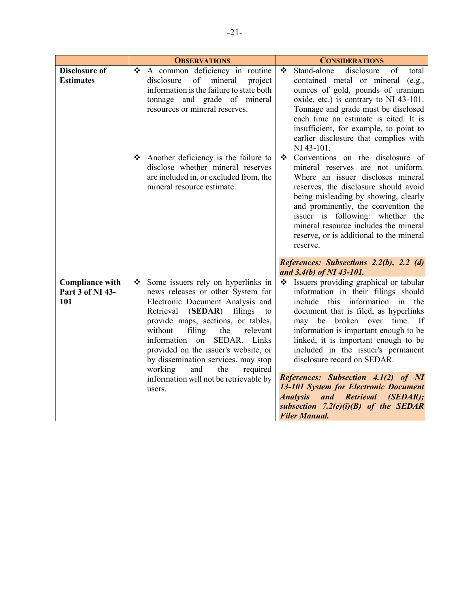|                                          | <b>OBSERVATIONS</b>                                                                                                                                                                           | <b>CONSIDERATIONS</b>                                                                                                                                                                                                                                                                                                                                                                                                   |
|------------------------------------------|-----------------------------------------------------------------------------------------------------------------------------------------------------------------------------------------------|-------------------------------------------------------------------------------------------------------------------------------------------------------------------------------------------------------------------------------------------------------------------------------------------------------------------------------------------------------------------------------------------------------------------------|
| <b>Disclosure of</b><br><b>Estimates</b> | ❖<br>A common deficiency in routine<br>of<br>mineral<br>project<br>disclosure<br>information is the failure to state both<br>tonnage and grade of mineral<br>resources or mineral reserves.   | Stand-alone<br>❖<br>disclosure<br>of<br>total<br>contained metal or mineral (e.g.,<br>ounces of gold, pounds of uranium<br>oxide, etc.) is contrary to NI 43-101.<br>Tonnage and grade must be disclosed<br>each time an estimate is cited. It is<br>insufficient, for example, to point to<br>earlier disclosure that complies with<br>NI 43-101.                                                                      |
|                                          | Another deficiency is the failure to<br>disclose whether mineral reserves<br>are included in, or excluded from, the<br>mineral resource estimate.                                             | Conventions on the disclosure of<br>❖<br>mineral reserves are not uniform.<br>Where an issuer discloses mineral<br>reserves, the disclosure should avoid<br>being misleading by showing, clearly<br>and prominently, the convention the<br>issuer is following: whether the<br>mineral resource includes the mineral<br>reserve, or is additional to the mineral<br>reserve.<br>References: Subsections 2.2(b), 2.2 (d) |
| <b>Compliance with</b>                   | Some issuers rely on hyperlinks in<br>❖                                                                                                                                                       | and 3.4(b) of NI 43-101.<br>Issuers providing graphical or tabular<br>❖                                                                                                                                                                                                                                                                                                                                                 |
| Part 3 of NI 43-<br>101                  | news releases or other System for<br>Electronic Document Analysis and<br>(SEDAR)<br>Retrieval<br>filings<br>to<br>provide maps, sections, or tables,                                          | information in their filings should<br>this information in<br>include<br>the<br>document that is filed, as hyperlinks<br>broken<br>over<br>time. If<br>may<br>be                                                                                                                                                                                                                                                        |
|                                          | filing<br>without<br>the<br>relevant<br>information<br>SEDAR. Links<br>on<br>provided on the issuer's website, or<br>by dissemination services, may stop<br>and<br>the<br>required<br>working | information is important enough to be<br>linked, it is important enough to be<br>included in the issuer's permanent<br>disclosure record on SEDAR.                                                                                                                                                                                                                                                                      |
|                                          | information will not be retrievable by<br>users.                                                                                                                                              | <b>References: Subsection 4.1(2) of NI</b><br>13-101 System for Electronic Document<br>and Retrieval (SEDAR);<br><b>Analysis</b><br>subsection $7.2(e)(i)(B)$ of the SEDAR<br><b>Filer Manual.</b>                                                                                                                                                                                                                      |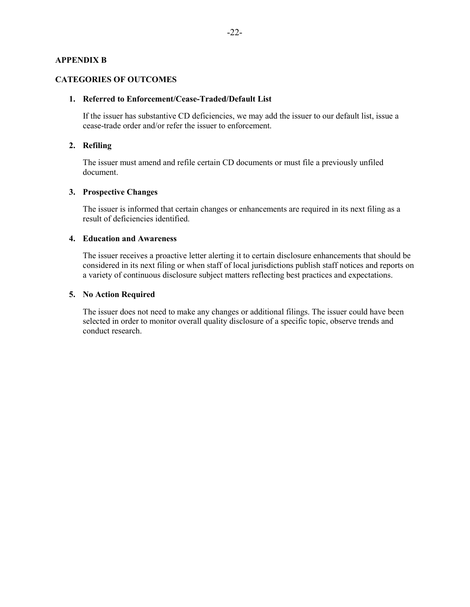## **APPENDIX B**

#### **CATEGORIES OF OUTCOMES**

#### **1. Referred to Enforcement/Cease-Traded/Default List**

If the issuer has substantive CD deficiencies, we may add the issuer to our default list, issue a cease-trade order and/or refer the issuer to enforcement.

# **2. Refiling**

The issuer must amend and refile certain CD documents or must file a previously unfiled document.

### **3. Prospective Changes**

The issuer is informed that certain changes or enhancements are required in its next filing as a result of deficiencies identified.

## **4. Education and Awareness**

The issuer receives a proactive letter alerting it to certain disclosure enhancements that should be considered in its next filing or when staff of local jurisdictions publish staff notices and reports on a variety of continuous disclosure subject matters reflecting best practices and expectations.

#### **5. No Action Required**

The issuer does not need to make any changes or additional filings. The issuer could have been selected in order to monitor overall quality disclosure of a specific topic, observe trends and conduct research.